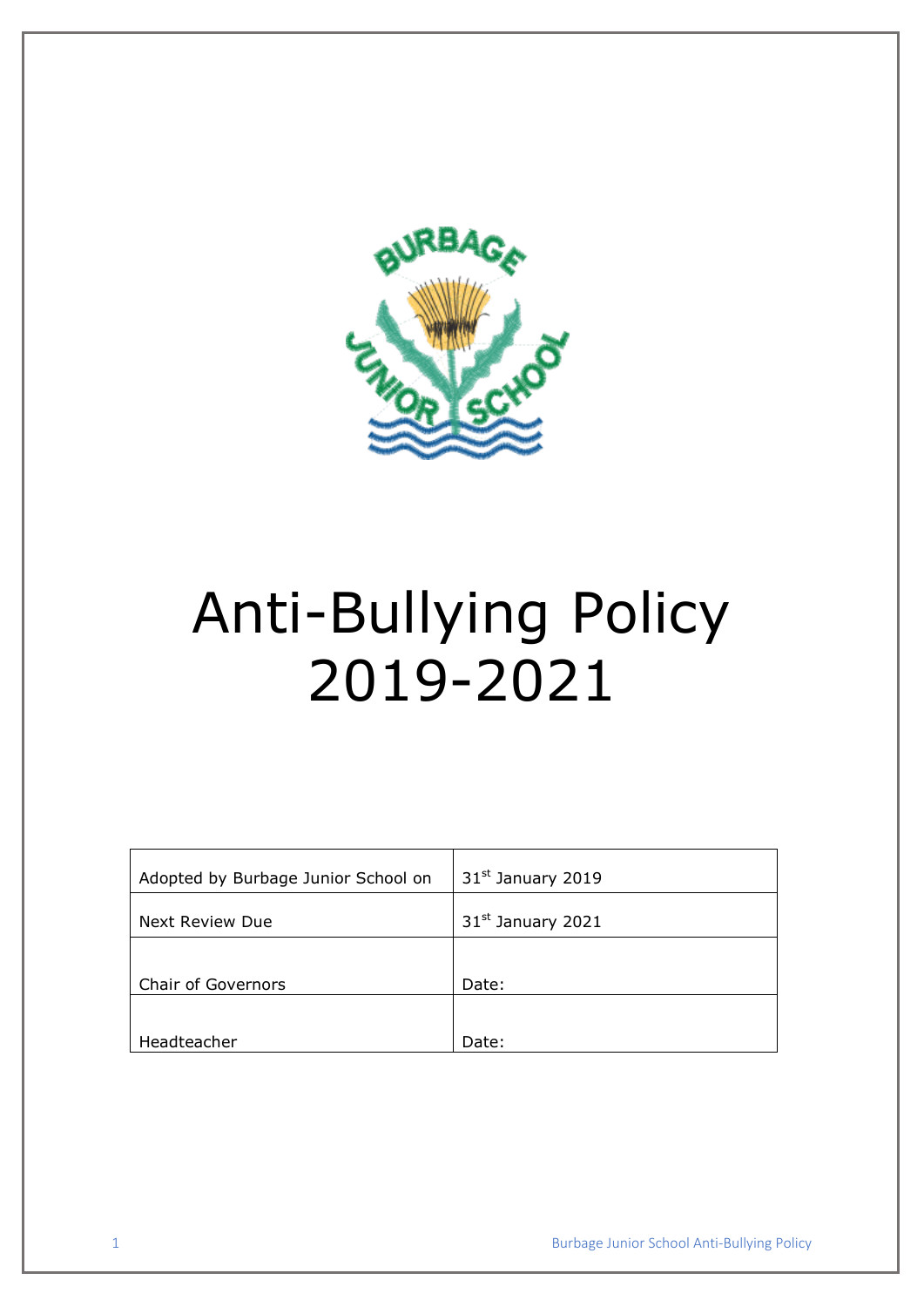

# Anti-Bullying Policy 2019-2021

| Adopted by Burbage Junior School on      | 31 <sup>st</sup> January 2019 |
|------------------------------------------|-------------------------------|
| Next Review Due                          | 31 <sup>st</sup> January 2021 |
|                                          |                               |
|                                          |                               |
|                                          |                               |
| <b>Chair of Governors</b><br>Headteacher | Date:<br>Date:                |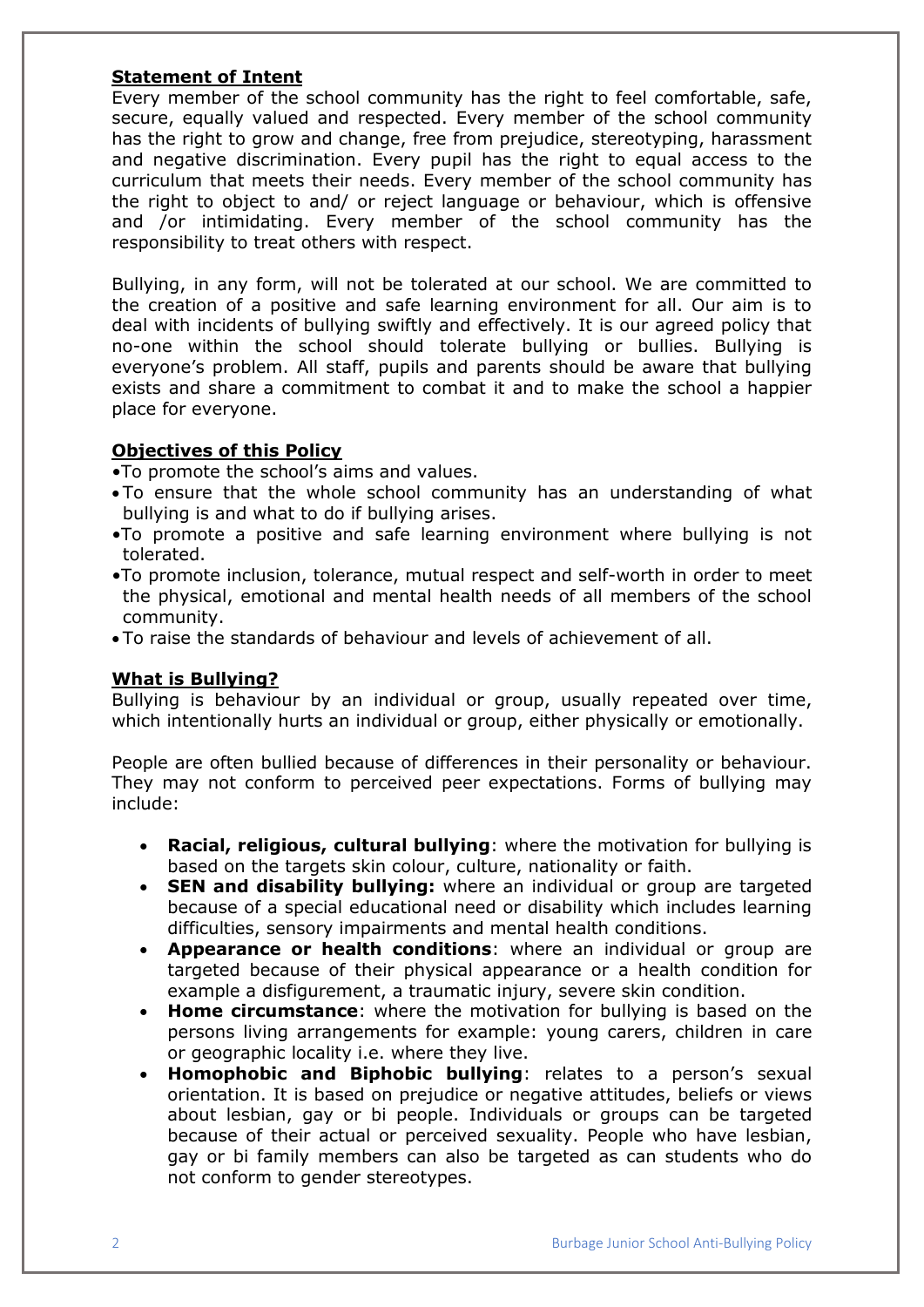#### **Statement of Intent**

Every member of the school community has the right to feel comfortable, safe, secure, equally valued and respected. Every member of the school community has the right to grow and change, free from prejudice, stereotyping, harassment and negative discrimination. Every pupil has the right to equal access to the curriculum that meets their needs. Every member of the school community has the right to object to and/ or reject language or behaviour, which is offensive and /or intimidating. Every member of the school community has the responsibility to treat others with respect.

Bullying, in any form, will not be tolerated at our school. We are committed to the creation of a positive and safe learning environment for all. Our aim is to deal with incidents of bullying swiftly and effectively. It is our agreed policy that no-one within the school should tolerate bullying or bullies. Bullying is everyone's problem. All staff, pupils and parents should be aware that bullying exists and share a commitment to combat it and to make the school a happier place for everyone.

## **Objectives of this Policy**

•To promote the school's aims and values.

- To ensure that the whole school community has an understanding of what bullying is and what to do if bullying arises.
- •To promote a positive and safe learning environment where bullying is not tolerated.
- •To promote inclusion, tolerance, mutual respect and self-worth in order to meet the physical, emotional and mental health needs of all members of the school community.
- To raise the standards of behaviour and levels of achievement of all.

#### **What is Bullying?**

Bullying is behaviour by an individual or group, usually repeated over time, which intentionally hurts an individual or group, either physically or emotionally.

People are often bullied because of differences in their personality or behaviour. They may not conform to perceived peer expectations. Forms of bullying may include:

- **Racial, religious, cultural bullying**: where the motivation for bullying is based on the targets skin colour, culture, nationality or faith.
- **SEN and disability bullying:** where an individual or group are targeted because of a special educational need or disability which includes learning difficulties, sensory impairments and mental health conditions.
- **Appearance or health conditions**: where an individual or group are targeted because of their physical appearance or a health condition for example a disfigurement, a traumatic injury, severe skin condition.
- **Home circumstance**: where the motivation for bullying is based on the persons living arrangements for example: young carers, children in care or geographic locality i.e. where they live.
- **Homophobic and Biphobic bullying**: relates to a person's sexual orientation. It is based on prejudice or negative attitudes, beliefs or views about lesbian, gay or bi people. Individuals or groups can be targeted because of their actual or perceived sexuality. People who have lesbian, gay or bi family members can also be targeted as can students who do not conform to gender stereotypes.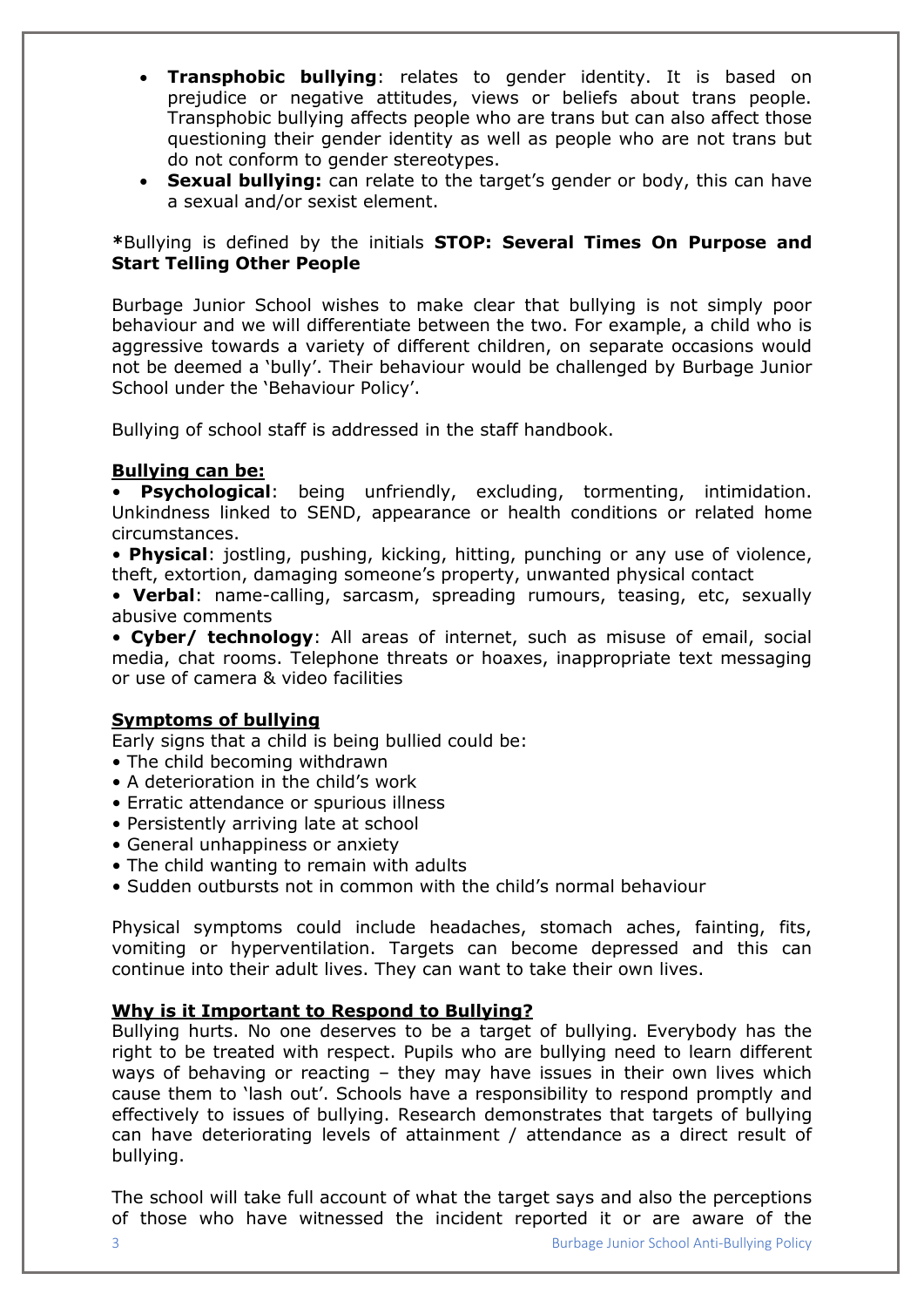- **Transphobic bullying**: relates to gender identity. It is based on prejudice or negative attitudes, views or beliefs about trans people. Transphobic bullying affects people who are trans but can also affect those questioning their gender identity as well as people who are not trans but do not conform to gender stereotypes.
- **Sexual bullying:** can relate to the target's gender or body, this can have a sexual and/or sexist element.

**\***Bullying is defined by the initials **STOP: Several Times On Purpose and Start Telling Other People**

Burbage Junior School wishes to make clear that bullying is not simply poor behaviour and we will differentiate between the two. For example, a child who is aggressive towards a variety of different children, on separate occasions would not be deemed a 'bully'. Their behaviour would be challenged by Burbage Junior School under the 'Behaviour Policy'.

Bullying of school staff is addressed in the staff handbook.

#### **Bullying can be:**

**Psychological:** being unfriendly, excluding, tormenting, intimidation. Unkindness linked to SEND, appearance or health conditions or related home circumstances.

• **Physical**: jostling, pushing, kicking, hitting, punching or any use of violence, theft, extortion, damaging someone's property, unwanted physical contact

• **Verbal**: name-calling, sarcasm, spreading rumours, teasing, etc, sexually abusive comments

• **Cyber/ technology**: All areas of internet, such as misuse of email, social media, chat rooms. Telephone threats or hoaxes, inappropriate text messaging or use of camera & video facilities

#### **Symptoms of bullying**

Early signs that a child is being bullied could be:

- The child becoming withdrawn
- A deterioration in the child's work
- Erratic attendance or spurious illness
- Persistently arriving late at school
- General unhappiness or anxiety
- The child wanting to remain with adults
- Sudden outbursts not in common with the child's normal behaviour

Physical symptoms could include headaches, stomach aches, fainting, fits, vomiting or hyperventilation. Targets can become depressed and this can continue into their adult lives. They can want to take their own lives.

#### **Why is it Important to Respond to Bullying?**

Bullying hurts. No one deserves to be a target of bullying. Everybody has the right to be treated with respect. Pupils who are bullying need to learn different ways of behaving or reacting – they may have issues in their own lives which cause them to 'lash out'. Schools have a responsibility to respond promptly and effectively to issues of bullying. Research demonstrates that targets of bullying can have deteriorating levels of attainment / attendance as a direct result of bullying.

The school will take full account of what the target says and also the perceptions of those who have witnessed the incident reported it or are aware of the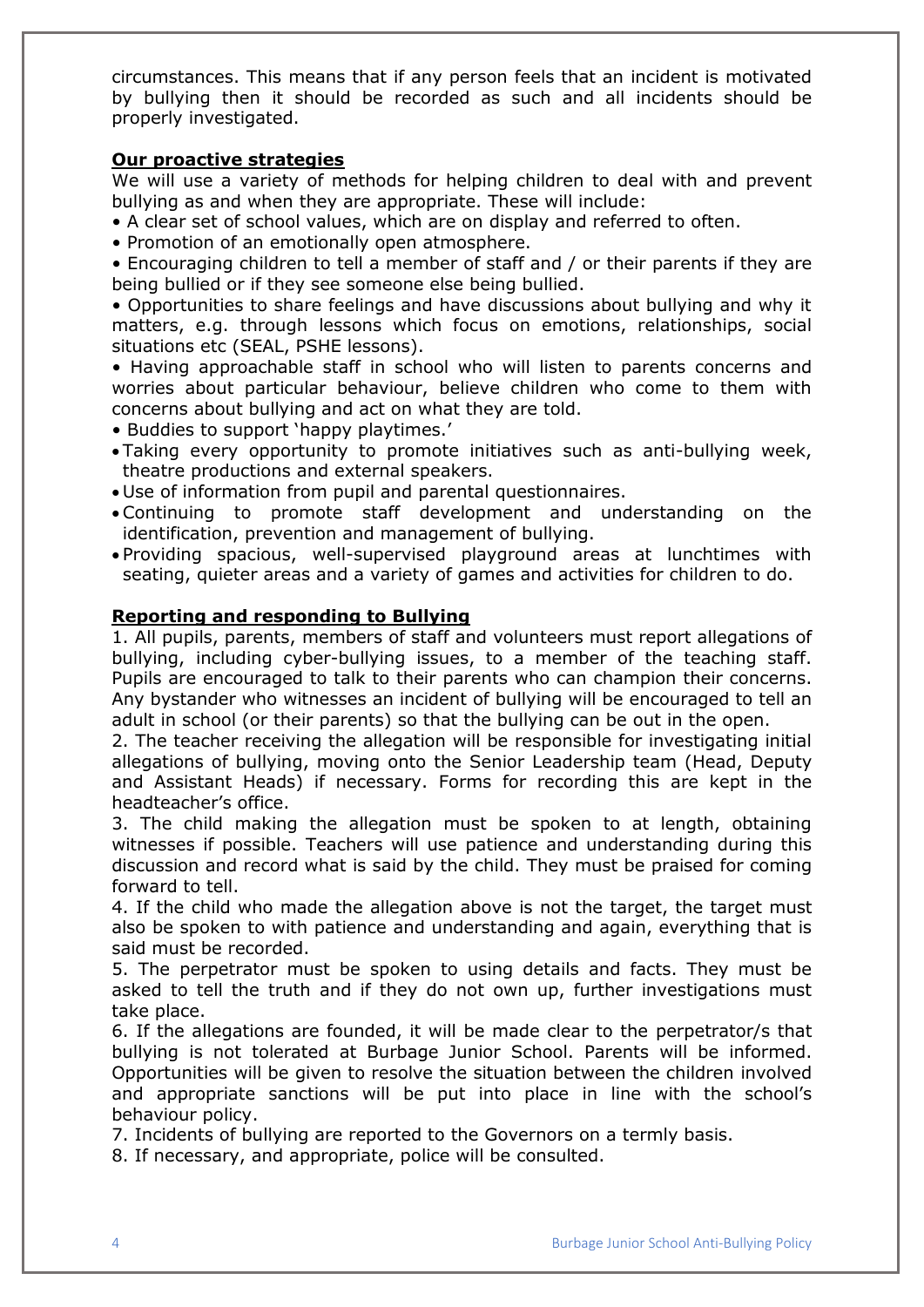circumstances. This means that if any person feels that an incident is motivated by bullying then it should be recorded as such and all incidents should be properly investigated.

#### **Our proactive strategies**

We will use a variety of methods for helping children to deal with and prevent bullying as and when they are appropriate. These will include:

- A clear set of school values, which are on display and referred to often.
- Promotion of an emotionally open atmosphere.

• Encouraging children to tell a member of staff and / or their parents if they are being bullied or if they see someone else being bullied.

• Opportunities to share feelings and have discussions about bullying and why it matters, e.g. through lessons which focus on emotions, relationships, social situations etc (SEAL, PSHE lessons).

• Having approachable staff in school who will listen to parents concerns and worries about particular behaviour, believe children who come to them with concerns about bullying and act on what they are told.

- Buddies to support 'happy playtimes.'
- Taking every opportunity to promote initiatives such as anti-bullying week, theatre productions and external speakers.
- Use of information from pupil and parental questionnaires.
- Continuing to promote staff development and understanding on the identification, prevention and management of bullying.
- Providing spacious, well-supervised playground areas at lunchtimes with seating, quieter areas and a variety of games and activities for children to do.

## **Reporting and responding to Bullying**

1. All pupils, parents, members of staff and volunteers must report allegations of bullying, including cyber-bullying issues, to a member of the teaching staff. Pupils are encouraged to talk to their parents who can champion their concerns. Any bystander who witnesses an incident of bullying will be encouraged to tell an adult in school (or their parents) so that the bullying can be out in the open.

2. The teacher receiving the allegation will be responsible for investigating initial allegations of bullying, moving onto the Senior Leadership team (Head, Deputy and Assistant Heads) if necessary. Forms for recording this are kept in the headteacher's office.

3. The child making the allegation must be spoken to at length, obtaining witnesses if possible. Teachers will use patience and understanding during this discussion and record what is said by the child. They must be praised for coming forward to tell.

4. If the child who made the allegation above is not the target, the target must also be spoken to with patience and understanding and again, everything that is said must be recorded.

5. The perpetrator must be spoken to using details and facts. They must be asked to tell the truth and if they do not own up, further investigations must take place.

6. If the allegations are founded, it will be made clear to the perpetrator/s that bullying is not tolerated at Burbage Junior School. Parents will be informed. Opportunities will be given to resolve the situation between the children involved and appropriate sanctions will be put into place in line with the school's behaviour policy.

7. Incidents of bullying are reported to the Governors on a termly basis.

8. If necessary, and appropriate, police will be consulted.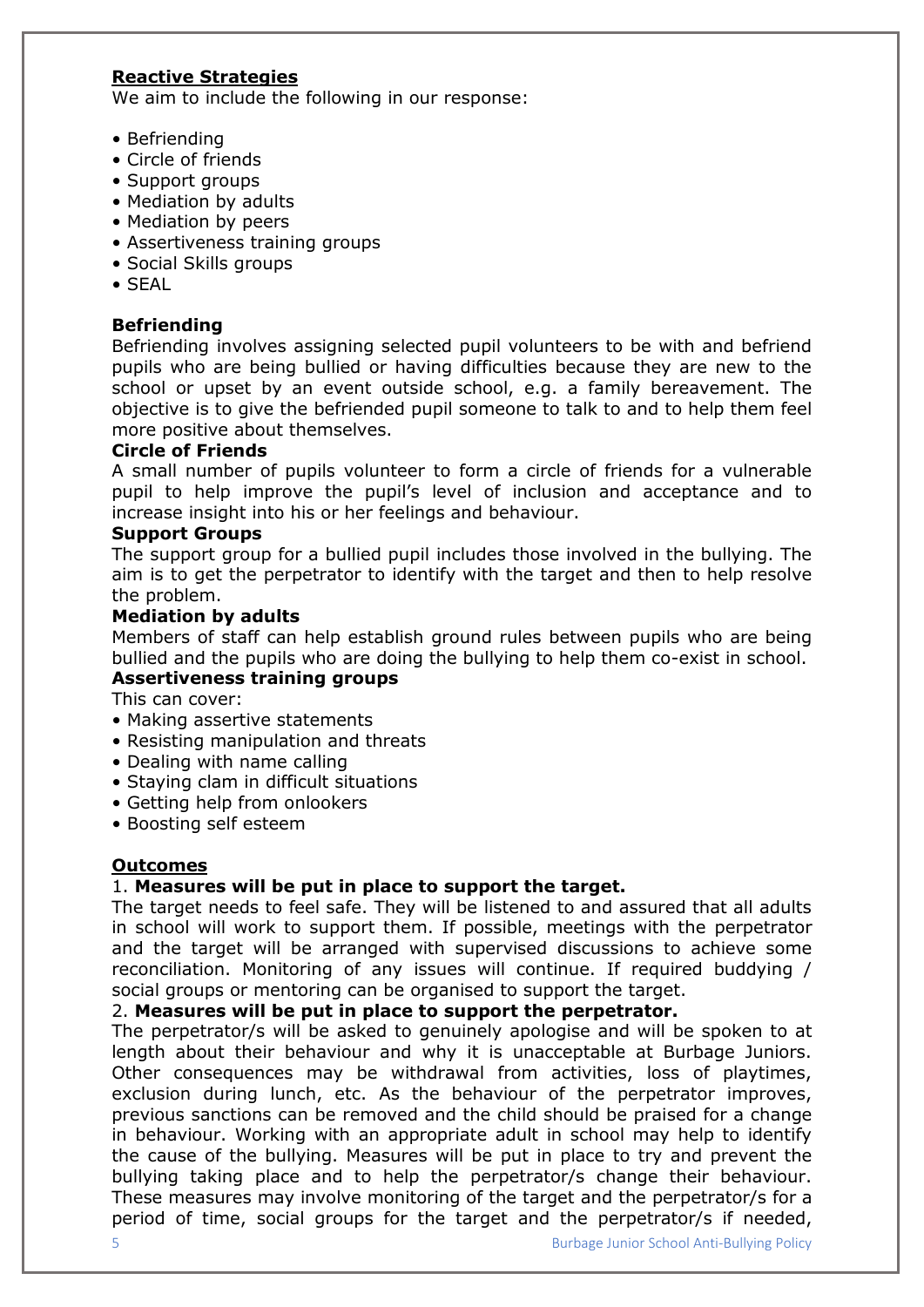# **Reactive Strategies**

We aim to include the following in our response:

- Befriending
- Circle of friends
- Support groups
- Mediation by adults
- Mediation by peers
- Assertiveness training groups
- Social Skills groups
- SEAL

#### **Befriending**

Befriending involves assigning selected pupil volunteers to be with and befriend pupils who are being bullied or having difficulties because they are new to the school or upset by an event outside school, e.g. a family bereavement. The objective is to give the befriended pupil someone to talk to and to help them feel more positive about themselves.

#### **Circle of Friends**

A small number of pupils volunteer to form a circle of friends for a vulnerable pupil to help improve the pupil's level of inclusion and acceptance and to increase insight into his or her feelings and behaviour.

#### **Support Groups**

The support group for a bullied pupil includes those involved in the bullying. The aim is to get the perpetrator to identify with the target and then to help resolve the problem.

#### **Mediation by adults**

Members of staff can help establish ground rules between pupils who are being bullied and the pupils who are doing the bullying to help them co-exist in school.

# **Assertiveness training groups**

This can cover:

- Making assertive statements
- Resisting manipulation and threats
- Dealing with name calling
- Staying clam in difficult situations
- Getting help from onlookers
- Boosting self esteem

## **Outcomes**

#### 1. **Measures will be put in place to support the target.**

The target needs to feel safe. They will be listened to and assured that all adults in school will work to support them. If possible, meetings with the perpetrator and the target will be arranged with supervised discussions to achieve some reconciliation. Monitoring of any issues will continue. If required buddying / social groups or mentoring can be organised to support the target.

#### 2. **Measures will be put in place to support the perpetrator.**

The perpetrator/s will be asked to genuinely apologise and will be spoken to at length about their behaviour and why it is unacceptable at Burbage Juniors. Other consequences may be withdrawal from activities, loss of playtimes, exclusion during lunch, etc. As the behaviour of the perpetrator improves, previous sanctions can be removed and the child should be praised for a change in behaviour. Working with an appropriate adult in school may help to identify the cause of the bullying. Measures will be put in place to try and prevent the bullying taking place and to help the perpetrator/s change their behaviour. These measures may involve monitoring of the target and the perpetrator/s for a period of time, social groups for the target and the perpetrator/s if needed,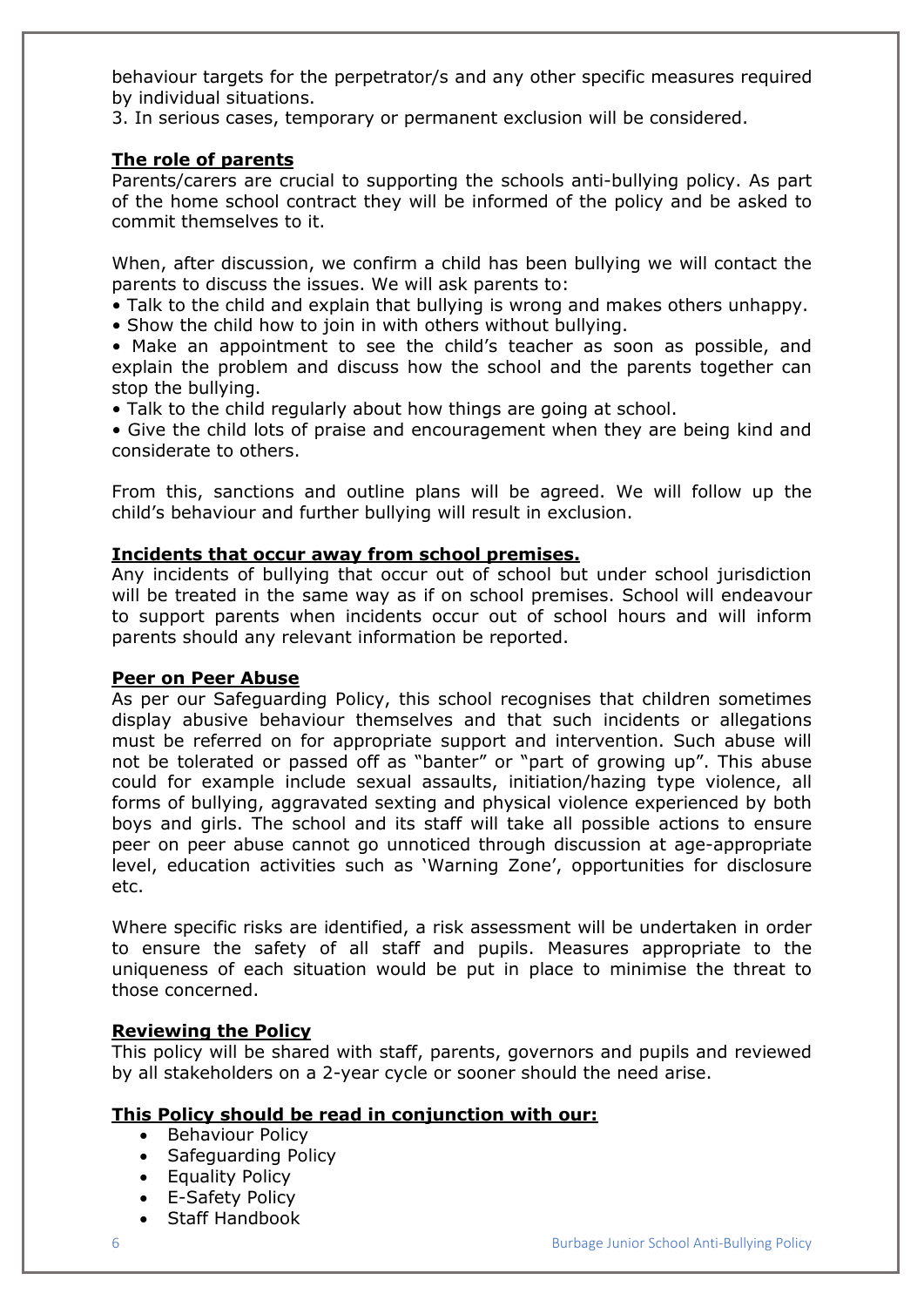behaviour targets for the perpetrator/s and any other specific measures required by individual situations.

3. In serious cases, temporary or permanent exclusion will be considered.

## **The role of parents**

Parents/carers are crucial to supporting the schools anti-bullying policy. As part of the home school contract they will be informed of the policy and be asked to commit themselves to it.

When, after discussion, we confirm a child has been bullying we will contact the parents to discuss the issues. We will ask parents to:

• Talk to the child and explain that bullying is wrong and makes others unhappy.

• Show the child how to join in with others without bullying.

• Make an appointment to see the child's teacher as soon as possible, and explain the problem and discuss how the school and the parents together can stop the bullying.

• Talk to the child regularly about how things are going at school.

• Give the child lots of praise and encouragement when they are being kind and considerate to others.

From this, sanctions and outline plans will be agreed. We will follow up the child's behaviour and further bullying will result in exclusion.

## **Incidents that occur away from school premises.**

Any incidents of bullying that occur out of school but under school jurisdiction will be treated in the same way as if on school premises. School will endeavour to support parents when incidents occur out of school hours and will inform parents should any relevant information be reported.

#### **Peer on Peer Abuse**

As per our Safeguarding Policy, this school recognises that children sometimes display abusive behaviour themselves and that such incidents or allegations must be referred on for appropriate support and intervention. Such abuse will not be tolerated or passed off as "banter" or "part of growing up". This abuse could for example include sexual assaults, initiation/hazing type violence, all forms of bullying, aggravated sexting and physical violence experienced by both boys and girls. The school and its staff will take all possible actions to ensure peer on peer abuse cannot go unnoticed through discussion at age-appropriate level, education activities such as 'Warning Zone', opportunities for disclosure etc.

Where specific risks are identified, a risk assessment will be undertaken in order to ensure the safety of all staff and pupils. Measures appropriate to the uniqueness of each situation would be put in place to minimise the threat to those concerned.

# **Reviewing the Policy**

This policy will be shared with staff, parents, governors and pupils and reviewed by all stakeholders on a 2-year cycle or sooner should the need arise.

# **This Policy should be read in conjunction with our:**

- Behaviour Policy
- Safeguarding Policy
- Equality Policy
- E-Safety Policy
- Staff Handbook